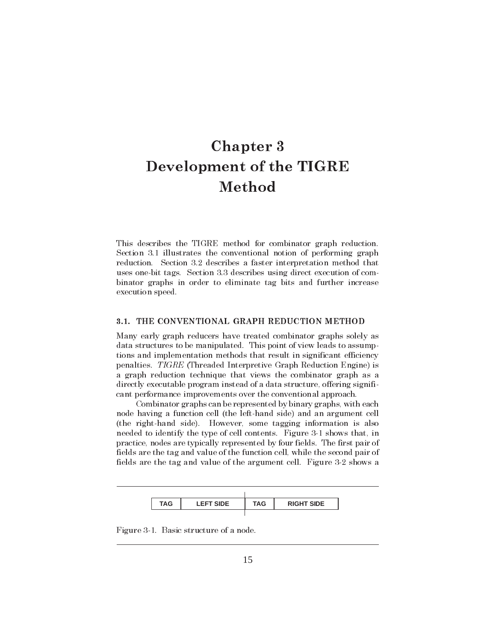# Chapter 3 Development of the TIGRE Method

This describes the TIGRE method for combinator graph reduction. Section 3.1 illustrates the conventional notion of performing graph reduction. Section 3.2 describes a faster interpretation method that uses one-bit tags. Section 3.3 describes using direct execution of combinator graphs in order to eliminate tag bits and further increase execution speed.

## 3.1. THE CONVENTIONAL GRAPH REDUCTION METHOD

Many early graph reducers have treated combinator graphs solely as data structures to be manipulated. This point of view leads to assumptions and implementation methods that result in significant efficiency penalties. TIGRE (Threaded Interpretive Graph Reduction Engine) is a graph reduction technique that views the combinator graph as a directly executable program instead of a data structure, offering significant performance improvements over the conventional approach.

Combinator graphs can be represented by binary graphs, with each node having a function cell (the left-hand side) and an argument cell (the right-hand side). However, some tagging information is also needed to identify the type of cell contents. Figure 3-1 shows that, in practice, nodes are typically represented by four fields. The first pair of fields are the tag and value of the function cell, while the second pair of fields are the tag and value of the argument cell. Figure 3-2 shows a

| T CINE<br>قة 1<br><b>IAU</b> |  |  |
|------------------------------|--|--|
|                              |  |  |

Figure 3-1. Basic structure of a node.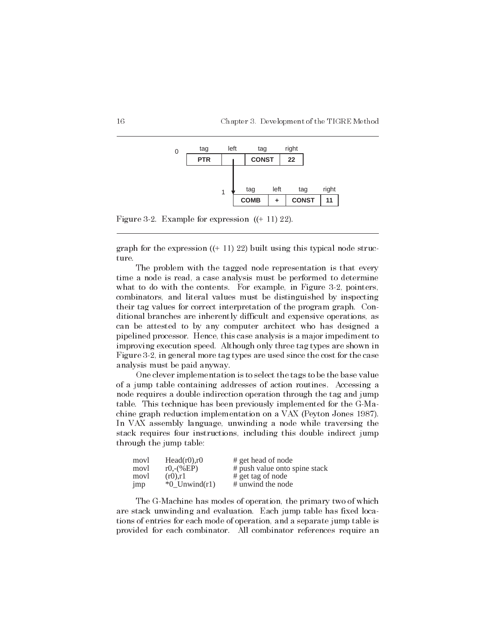

Figure 3-2. Example for expression ((+ 11) 22).

graph for the expression  $((+ 11) 22)$  built using this typical node structure.

The problem with the tagged node representation is that every time a node is read, a case analysis must be performed to determine what to do with the contents. For example, in Figure 3-2, pointers, combinators, and literal values must be distinguished by inspecting their tag values for correct interpretation of the program graph. Conditional branches are inherently difficult and expensive operations, as can be attested to by any computer architect who has designed a pipelined processor. Hence, this case analysis is a major impediment to improving execution speed. Although only three tag types are shown in Figure 3-2, in general more tag types are used since the cost for the case analysis must be paid anyway.

One clever implementation is to select the tags to be the base value of a jump table containing addresses of action routines. Accessing a node requires a double indirection operation through the tag and jump table. This technique has been previously implemented for the G-Machine graph reduction implementation on a VAX (Peyton Jones 1987). In VAX assembly language, unwinding a node while traversing the stack requires four instructions, including this double indirect jump through the jump table:

| movl | Head(r0), r0       | # get head of node            |
|------|--------------------|-------------------------------|
| movl | $r0-(%EP)$         | # push value onto spine stack |
| movl | (r0).r1            | $\#$ get tag of node          |
| jmp  | $*0$ Unwind $(r1)$ | # unwind the node             |

The G-Machine has modes of operation, the primary two of which are stack unwinding and evaluation. Each jump table has fixed locations of entries for each mode of operation, and a separate jump table is provided for each combinator. All combinator references require an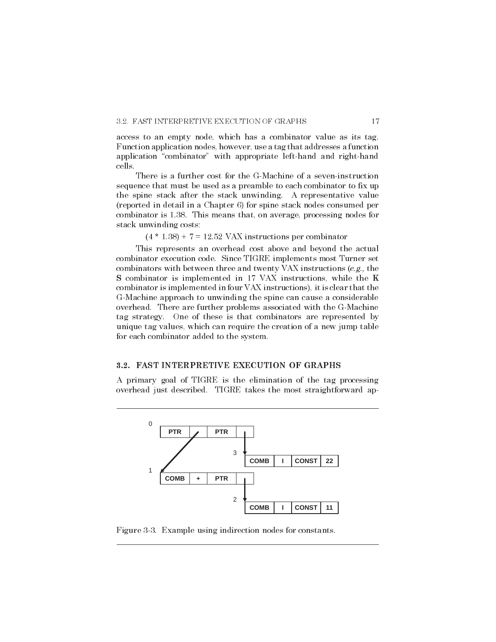access to an empty node, which has a combinator value as its tag. Function application nodes, however, use a tag that addresses a function application "combinator" with appropriate left-hand and right-hand cells.

There is a further cost for the G-Machine of a seven-instruction sequence that must be used as a preamble to each combinator to fix up the spine stack after the stack unwinding. A representative value (reported in detail in a Chapter 6) for spine stack nodes consumed per combinator is 1.38. This means that, on average, processing nodes for stack unwinding costs:

 $(4 * 1.38) + 7 = 12.52$  VAX instructions per combinator

This represents an overhead cost above and beyond the actual combinator execution code. Since TIGRE implements most Turner set combinators with between three and twenty VAX instructions (e.g., the S combinator is implemented in 17 VAX instructions, while the K combinator is implemented in four VAX instructions), it is clear that the G-Machine approach to unwinding the spine can cause a considerable overhead. There are further problems associated with the G-Machine tag strategy. One of these is that combinators are represented by unique tag values, which can require the creation of a new jump table for each combinator added to the system.

### 3.2. FAST INTERPRETIVE EXECUTION OF GRAPHS

A primary goal of TIGRE is the elimination of the tag processing overhead just described. TIGRE takes the most straightforward ap-



Figure 3-3. Example using indirection nodes for constants.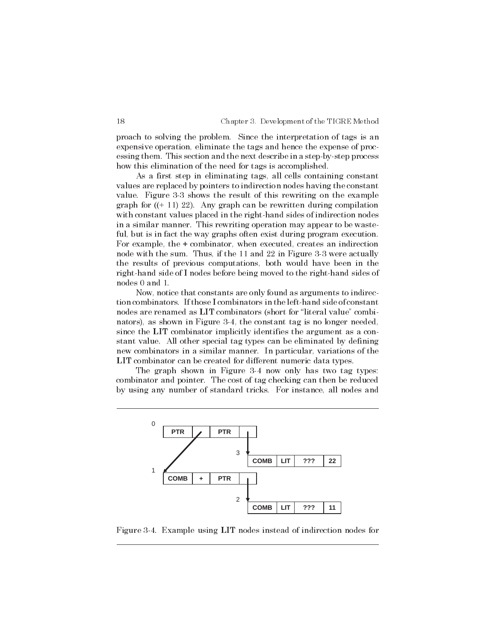proach to solving the problem. Since the interpretation of tags is an expensive operation, eliminate the tags and hence the expense of processing them. This section and the next describe in a step-by-step process how this elimination of the need for tags is accomplished.

As a first step in eliminating tags, all cells containing constant values are replaced by pointers to indirection nodes having the constant value. Figure 3-3 shows the result of this rewriting on the example graph for ((+ 11) 22). Any graph can be rewritten during compilation with constant values placed in the right-hand sides of indirection nodes in a similar manner. This rewriting operation may appear to be wasteful, but is in fact the way graphs often exist during program execution. For example, the + combinator, when executed, creates an indirection node with the sum. Thus, if the 11 and 22 in Figure 3-3 were actually the results of previous computations, both would have been in the right-hand side of I nodes before being moved to the right-hand sides of nodes 0 and 1.

Now, notice that constants are only found as arguments to indirection combinators. If those I combinators in the left-hand side of constant nodes are renamed as  $LIT$  combinators (short for "literal value" combinators), as shown in Figure 3-4, the constant tag is no longer needed, since the LIT combinator implicitly identifies the argument as a constant value. All other special tag types can be eliminated by defining new combinators in a similar manner. In particular, variations of the LIT combinator can be created for different numeric data types.

The graph shown in Figure 3-4 now only has two tag types: combinator and pointer. The cost of tag checking can then be reduced by using any number of standard tricks. For instance, all nodes and



Figure 3-4. Example using LIT nodes instead of indirection nodes for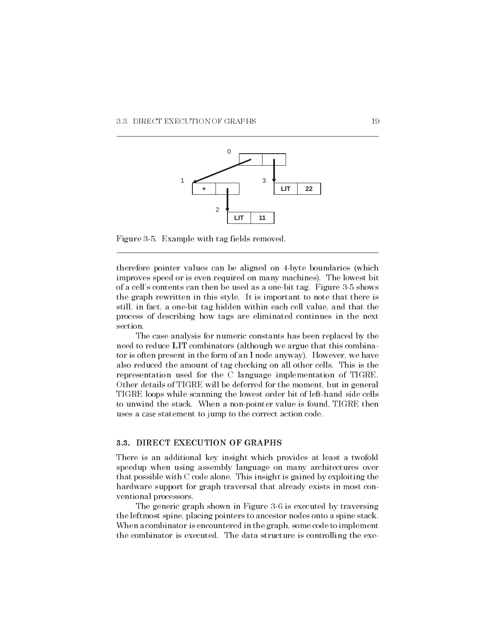

Figure 3-5. Example with tag fields removed.

therefore pointer values can be aligned on 4-byte boundaries (which improves speed or is even required on many machines). The lowest bit of a cells contents can then be used as a one-bit tag. Figure 3-5 shows the graph rewritten in this style. It is important to note that there is still, in fact, a one-bit tag hidden within each cell value, and that the process of describing how tags are eliminated continues in the next section.

The case analysis for numeric constants has been replaced by the need to reduce LIT combinators (although we argue that this combinator is often present in the form of an I node anyway). However, we have also reduced the amount of tag checking on all other cells. This is the representation used for the C language implementation of TIGRE. Other details of TIGRE will be deferred for the moment, but in general TIGRE loops while scanning the lowest order bit of left-hand side cells to unwind the stack. When a non-pointer value is found, TIGRE then uses a case statement to jump to the correct action code.

#### 3.3. DIRECT EXECUTION OF GRAPHS

There is an additional key insight which provides at least a twofold speedup when using assembly language on many architectures over that possible with C code alone. This insight is gained by exploiting the hardware support for graph traversal that already exists in most conventional processors.

The generic graph shown in Figure 3-6 is executed by traversing the leftmost spine, placing pointers to ancestor nodes onto a spine stack. When a combinator is encountered in the graph, some code to implement the combinator is executed. The data structure is controlling the exe-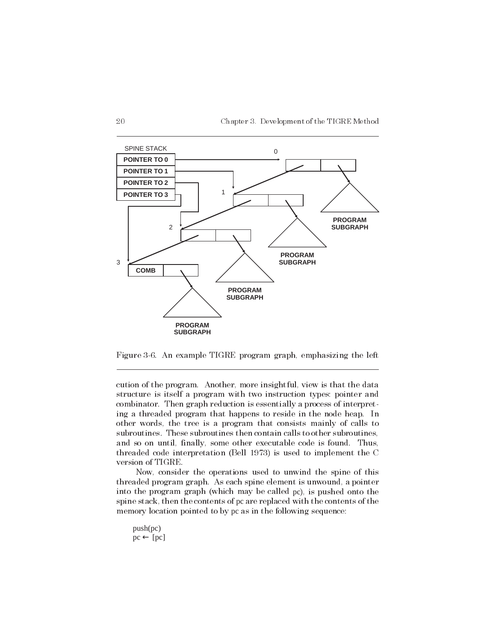

Figure 3-6. An example TIGRE program graph, emphasizing the left

cution of the program. Another, more insightful, view is that the data structure is itself a program with two instruction types: pointer and combinator. Then graph reduction is essentially a process of interpreting a threaded program that happens to reside in the node heap. In other words, the tree is a program that consists mainly of calls to subroutines. These subroutines then contain calls to other subroutines, and so on until, finally, some other executable code is found. Thus, threaded code interpretation (Bell 1973) is used to implement the C version of TIGRE.

Now, consider the operations used to unwind the spine of this threaded program graph. As each spine element is unwound, a pointer into the program graph (which may be called pc), is pushed onto the spine stack, then the contents of pc are replaced with the contents of the memory location pointed to by pc as in the following sequence:

push(pc)  $pc \leftarrow [pc]$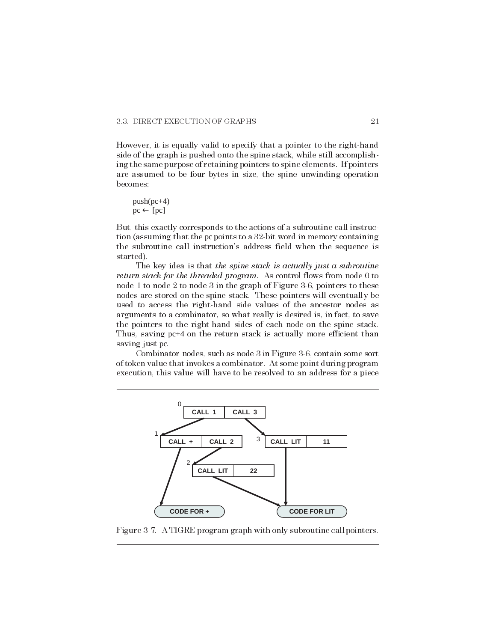However, it is equally valid to specify that a pointer to the right-hand side of the graph is pushed onto the spine stack, while still accomplishing the same purpose of retaining pointers to spine elements. If pointers are assumed to be four bytes in size, the spine unwinding operation becomes:

```
push(pc+4)
pc \leftarrow [pc]
```
But, this exactly corresponds to the actions of a subroutine call instruction (assuming that the pc points to a 32-bit word in memory containing the subroutine call instruction's address field when the sequence is started).

The key idea is that the spine stack is actually just a subroutine return stack for the threaded program. As control flows from node 0 to node 1 to node 2 to node 3 in the graph of Figure 3-6, pointers to these nodes are stored on the spine stack. These pointers will eventually be used to access the right-hand side values of the ancestor nodes as arguments to a combinator, so what really is desired is, in fact, to save the pointers to the right-hand sides of each node on the spine stack. Thus, saving pc+4 on the return stack is actually more efficient than saving just pc.

Combinator nodes, such as node 3 in Figure 3-6, contain some sort of token value that invokes a combinator. At some point during program execution, this value will have to be resolved to an address for a piece



Figure 3-7. A TIGRE program graph with only subroutine call pointers.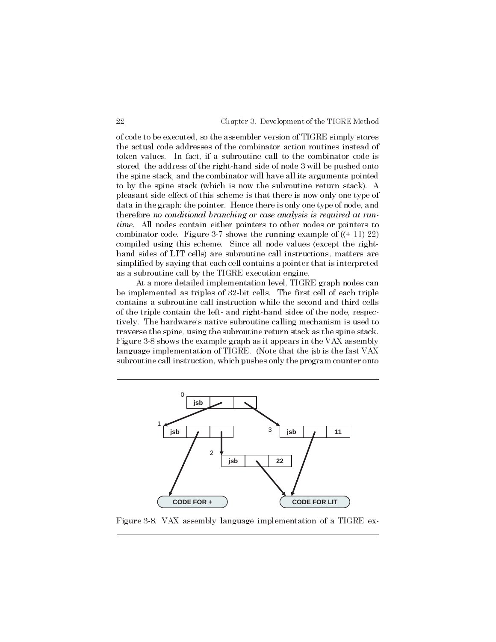of code to be executed, so the assembler version of TIGRE simply stores the actual code addresses of the combinator action routines instead of token values. In fact, if a subroutine call to the combinator code is stored, the address of the right-hand side of node 3 will be pushed onto the spine stack, and the combinator will have all its arguments pointed to by the spine stack (which is now the subroutine return stack). A pleasant side effect of this scheme is that there is now only one type of data in the graph: the pointer. Hence there is only one type of node, and therefore no conditional branching or case analysis is required at runtime. All nodes contain either pointers to other nodes or pointers to combinator code. Figure 3-7 shows the running example of  $((+ 11) 22)$ compiled using this scheme. Since all node values (except the righthand sides of LIT cells) are subroutine call instructions, matters are simplified by saying that each cell contains a pointer that is interpreted as a subroutine call by the TIGRE execution engine.

At a more detailed implementation level, TIGRE graph nodes can be implemented as triples of 32-bit cells. The first cell of each triple contains a subroutine call instruction while the second and third cells of the triple contain the left- and right-hand sides of the node, respectively. The hardware's native subroutine calling mechanism is used to traverse the spine, using the subroutine return stack as the spine stack. Figure 3-8 shows the example graph as it appears in the VAX assembly language implementation of TIGRE. (Note that the jsb is the fast VAX subroutine call instruction, which pushes only the program counter onto



Figure 3-8. VAX assembly language implementation of a TIGRE ex-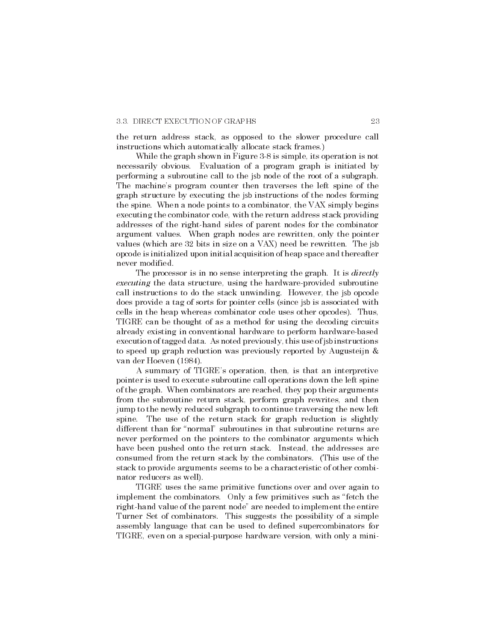#### 3.3. DIRECT EXECUTION OF GRAPHS 23

the return address stack, as opposed to the slower procedure call instructions which automatically allocate stack frames.)

While the graph shown in Figure 3-8 is simple, its operation is not necessarily obvious. Evaluation of a program graph is initiated by performing a subroutine call to the jsb node of the root of a subgraph. The machine's program counter then traverses the left spine of the graph structure by executing the jsb instructions of the nodes forming the spine. When a node points to a combinator, the VAX simply begins executing the combinator code, with the return address stack providing addresses of the right-hand sides of parent nodes for the combinator argument values. When graph nodes are rewritten, only the pointer values (which are 32 bits in size on a VAX) need be rewritten. The jsb opcode is initialized upon initial acquisition of heap space and thereafter never modified.

The processor is in no sense interpreting the graph. It is *directly* executing the data structure, using the hardware-provided subroutine call instructions to do the stack unwinding. However, the jsb opcode does provide a tag of sorts for pointer cells (since jsb is associated with cells in the heap whereas combinator code uses other opcodes). Thus, TIGRE can be thought of as a method for using the decoding circuits already existing in conventional hardware to perform hardware-based execution of tagged data. As noted previously, this use of jsb instructions to speed up graph reduction was previously reported by Augusteijn & van der Hoeven (1984).

A summary of TIGREs operation, then, is that an interpretive pointer is used to execute subroutine call operations down the left spine of the graph. When combinators are reached, they pop their arguments from the subroutine return stack, perform graph rewrites, and then jump to the newly reduced subgraph to continue traversing the new left spine. The use of the return stack for graph reduction is slightly different than for "normal" subroutines in that subroutine returns are never performed on the pointers to the combinator arguments which have been pushed onto the return stack. Instead, the addresses are consumed from the return stack by the combinators. (This use of the stack to provide arguments seems to be a characteristic of other combinator reducers as well).

TIGRE uses the same primitive functions over and over again to implement the combinators. Only a few primitives such as "fetch the right-hand value of the parent node" are needed to implement the entire Turner Set of combinators. This suggests the possibility of a simple assembly language that can be used to defined supercombinators for TIGRE, even on a special-purpose hardware version, with only a mini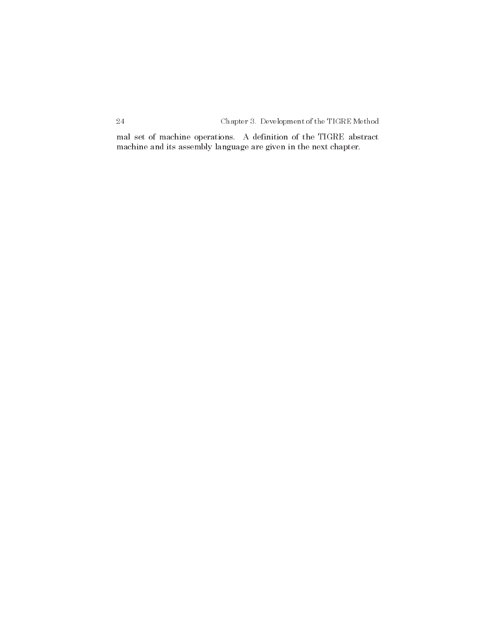mal set of machine operations. A definition of the TIGRE abstract machine and its assembly language are given in the next chapter.